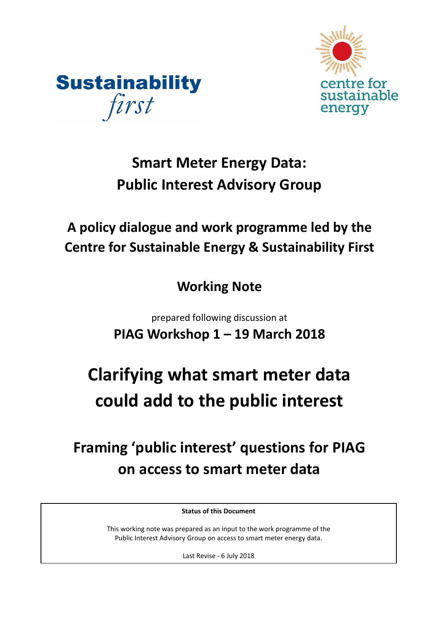



# **Smart Meter Energy Data: Public Interest Advisory Group**

# **A policy dialogue and work programme led by the Centre for Sustainable Energy & Sustainability First**

# **Working Note**

prepared following discussion at **PIAG Workshop 1 – 19 March 2018**

# **Clarifying what smart meter data could add to the public interest**

# **Framing 'public interest' questions for PIAG on access to smart meter data**

**Status of this Document**

This working note was prepared as an input to the work programme of the Public Interest Advisory Group on access to smart meter energy data.

Last Revise - 6 July 2018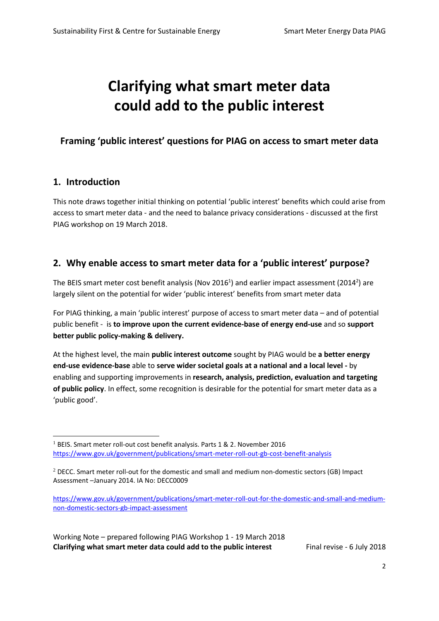# **Clarifying what smart meter data could add to the public interest**

# **Framing 'public interest' questions for PIAG on access to smart meter data**

## **1. Introduction**

1

This note draws together initial thinking on potential 'public interest' benefits which could arise from access to smart meter data - and the need to balance privacy considerations - discussed at the first PIAG workshop on 19 March 2018.

# **2. Why enable access to smart meter data for a 'public interest' purpose?**

The BEIS smart meter cost benefit analysis (Nov 2016<sup>1</sup>) and earlier impact assessment (2014<sup>2</sup>) are largely silent on the potential for wider 'public interest' benefits from smart meter data

For PIAG thinking, a main 'public interest' purpose of access to smart meter data – and of potential public benefit - is **to improve upon the current evidence-base of energy end-use** and so **support better public policy-making & delivery.** 

At the highest level, the main **public interest outcome** sought by PIAG would be **a better energy end-use evidence-base** able to **serve wider societal goals at a national and a local level -** by enabling and supporting improvements in **research, analysis, prediction, evaluation and targeting of public policy**. In effect, some recognition is desirable for the potential for smart meter data as a 'public good'.

<sup>&</sup>lt;sup>1</sup> BEIS. Smart meter roll-out cost benefit analysis. Parts 1 & 2. November 2016 <https://www.gov.uk/government/publications/smart-meter-roll-out-gb-cost-benefit-analysis>

 $2$  DECC. Smart meter roll-out for the domestic and small and medium non-domestic sectors (GB) Impact Assessment –January 2014. IA No: DECC0009

[https://www.gov.uk/government/publications/smart-meter-roll-out-for-the-domestic-and-small-and-medium](https://www.gov.uk/government/publications/smart-meter-roll-out-for-the-domestic-and-small-and-medium-non-domestic-sectors-gb-impact-assessment)[non-domestic-sectors-gb-impact-assessment](https://www.gov.uk/government/publications/smart-meter-roll-out-for-the-domestic-and-small-and-medium-non-domestic-sectors-gb-impact-assessment)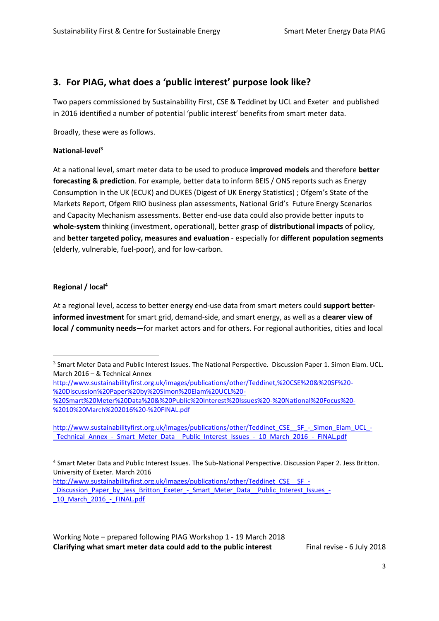# **3. For PIAG, what does a 'public interest' purpose look like?**

Two papers commissioned by Sustainability First, CSE & Teddinet by UCL and Exeter and published in 2016 identified a number of potential 'public interest' benefits from smart meter data.

Broadly, these were as follows.

#### **National-level<sup>3</sup>**

At a national level, smart meter data to be used to produce **improved models** and therefore **better forecasting & prediction**. For example, better data to inform BEIS / ONS reports such as Energy Consumption in the UK (ECUK) and DUKES (Digest of UK Energy Statistics) ; Ofgem's State of the Markets Report, Ofgem RIIO business plan assessments, National Grid's Future Energy Scenarios and Capacity Mechanism assessments. Better end-use data could also provide better inputs to **whole-system** thinking (investment, operational), better grasp of **distributional impacts** of policy, and **better targeted policy, measures and evaluation** - especially for **different population segments** (elderly, vulnerable, fuel-poor), and for low-carbon.

#### **Regional / local<sup>4</sup>**

1

At a regional level, access to better energy end-use data from smart meters could **support betterinformed investment** for smart grid, demand-side, and smart energy, as well as a **clearer view of local / community needs**—for market actors and for others. For regional authorities, cities and local

[http://www.sustainabilityfirst.org.uk/images/publications/other/Teddinet\\_CSE\\_\\_SF\\_-](http://www.sustainabilityfirst.org.uk/images/publications/other/Teddinet_CSE__SF_-_Discussion_Paper_by_Jess_Britton_Exeter_-_Smart_Meter_Data__Public_Interest_Issues_-_10_March_2016_-_FINAL.pdf) Discussion Paper by Jess Britton Exeter - Smart Meter Data Public Interest Issues -10 March 2016 - FINAL.pdf

 $3$  Smart Meter Data and Public Interest Issues. The National Perspective. Discussion Paper 1. Simon Elam. UCL. March 2016 – & Technical Annex

[http://www.sustainabilityfirst.org.uk/images/publications/other/Teddinet,%20CSE%20&%20SF%20-](http://www.sustainabilityfirst.org.uk/images/publications/other/Teddinet,%20CSE%20&%20SF%20-%20Discussion%20Paper%20by%20Simon%20Elam%20UCL%20-%20Smart%20Meter%20Data%20&%20Public%20Interest%20Issues%20-%20National%20Focus%20-%2010%20March%202016%20-%20FINAL.pdf) [%20Discussion%20Paper%20by%20Simon%20Elam%20UCL%20-](http://www.sustainabilityfirst.org.uk/images/publications/other/Teddinet,%20CSE%20&%20SF%20-%20Discussion%20Paper%20by%20Simon%20Elam%20UCL%20-%20Smart%20Meter%20Data%20&%20Public%20Interest%20Issues%20-%20National%20Focus%20-%2010%20March%202016%20-%20FINAL.pdf)

[<sup>%20</sup>Smart%20Meter%20Data%20&%20Public%20Interest%20Issues%20-%20National%20Focus%20-](http://www.sustainabilityfirst.org.uk/images/publications/other/Teddinet,%20CSE%20&%20SF%20-%20Discussion%20Paper%20by%20Simon%20Elam%20UCL%20-%20Smart%20Meter%20Data%20&%20Public%20Interest%20Issues%20-%20National%20Focus%20-%2010%20March%202016%20-%20FINAL.pdf) [%2010%20March%202016%20-%20FINAL.pdf](http://www.sustainabilityfirst.org.uk/images/publications/other/Teddinet,%20CSE%20&%20SF%20-%20Discussion%20Paper%20by%20Simon%20Elam%20UCL%20-%20Smart%20Meter%20Data%20&%20Public%20Interest%20Issues%20-%20National%20Focus%20-%2010%20March%202016%20-%20FINAL.pdf)

[http://www.sustainabilityfirst.org.uk/images/publications/other/Teddinet\\_CSE\\_\\_SF\\_-\\_Simon\\_Elam\\_UCL\\_-](http://www.sustainabilityfirst.org.uk/images/publications/other/Teddinet_CSE__SF_-_Simon_Elam_UCL_-_Technical_Annex_-_Smart_Meter_Data__Public_Interest_Issues_-_10_March_2016_-_FINAL.pdf) Technical Annex - Smart Meter Data Public Interest Issues - 10 March 2016 - FINAL.pdf

<sup>4</sup> Smart Meter Data and Public Interest Issues. The Sub-National Perspective. Discussion Paper 2. Jess Britton. University of Exeter. March 2016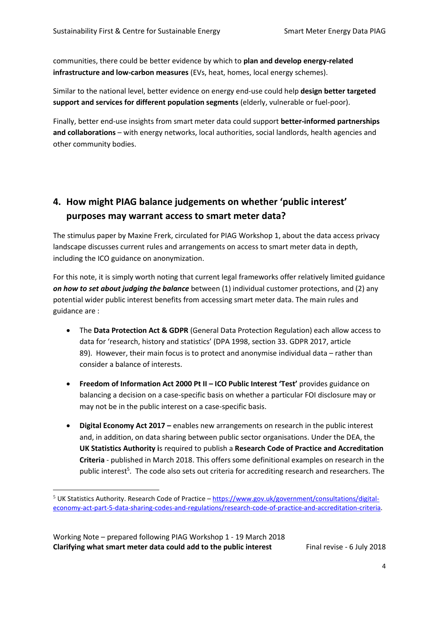communities, there could be better evidence by which to **plan and develop energy-related infrastructure and low-carbon measures** (EVs, heat, homes, local energy schemes).

Similar to the national level, better evidence on energy end-use could help **design better targeted support and services for different population segments** (elderly, vulnerable or fuel-poor).

Finally, better end-use insights from smart meter data could support **better-informed partnerships and collaborations** – with energy networks, local authorities, social landlords, health agencies and other community bodies.

# **4. How might PIAG balance judgements on whether 'public interest' purposes may warrant access to smart meter data?**

The stimulus paper by Maxine Frerk, circulated for PIAG Workshop 1, about the data access privacy landscape discusses current rules and arrangements on access to smart meter data in depth, including the ICO guidance on anonymization.

For this note, it is simply worth noting that current legal frameworks offer relatively limited guidance *on how to set about judging the balance* between (1) individual customer protections, and (2) any potential wider public interest benefits from accessing smart meter data. The main rules and guidance are :

- The **Data Protection Act & GDPR** (General Data Protection Regulation) each allow access to data for 'research, history and statistics' (DPA 1998, section 33. GDPR 2017, article 89). However, their main focus is to protect and anonymise individual data – rather than consider a balance of interests.
- **Freedom of Information Act 2000 Pt II – ICO Public Interest 'Test'** provides guidance on balancing a decision on a case-specific basis on whether a particular FOI disclosure may or may not be in the public interest on a case-specific basis.
- **Digital Economy Act 2017 –** enables new arrangements on research in the public interest and, in addition, on data sharing between public sector organisations. Under the DEA, the **UK Statistics Authority i**s required to publish a **Research Code of Practice and Accreditation Criteria** - published in March 2018. This offers some definitional examples on research in the public interest<sup>5</sup>. The code also sets out criteria for accrediting research and researchers. The

<u>.</u>

 $5$  UK Statistics Authority. Research Code of Practice – [https://www.gov.uk/government/consultations/digital](https://www.gov.uk/government/consultations/digital-economy-act-part-5-data-sharing-codes-and-regulations/research-code-of-practice-and-accreditation-criteria)[economy-act-part-5-data-sharing-codes-and-regulations/research-code-of-practice-and-accreditation-criteria.](https://www.gov.uk/government/consultations/digital-economy-act-part-5-data-sharing-codes-and-regulations/research-code-of-practice-and-accreditation-criteria)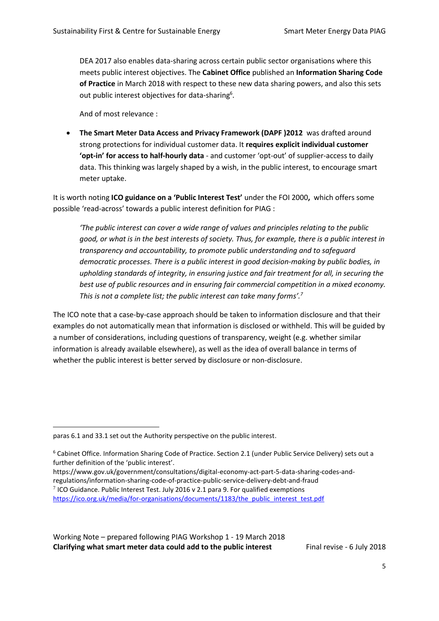DEA 2017 also enables data-sharing across certain public sector organisations where this meets public interest objectives. The **Cabinet Office** published an **Information Sharing Code of Practice** in March 2018 with respect to these new data sharing powers, and also this sets out public interest objectives for data-sharing<sup>6</sup>.

And of most relevance :

• **The Smart Meter Data Access and Privacy Framework (DAPF )2012** was drafted around strong protections for individual customer data. It **requires explicit individual customer 'opt-in' for access to half-hourly data** - and customer 'opt-out' of supplier-access to daily data. This thinking was largely shaped by a wish, in the public interest, to encourage smart meter uptake.

It is worth noting **ICO guidance on a 'Public Interest Test'** under the FOI 2000**,** which offers some possible 'read-across' towards a public interest definition for PIAG :

*'The public interest can cover a wide range of values and principles relating to the public good, or what is in the best interests of society. Thus, for example, there is a public interest in transparency and accountability, to promote public understanding and to safeguard democratic processes. There is a public interest in good decision-making by public bodies, in upholding standards of integrity, in ensuring justice and fair treatment for all, in securing the best use of public resources and in ensuring fair commercial competition in a mixed economy. This is not a complete list; the public interest can take many forms'.<sup>7</sup>*

The ICO note that a case-by-case approach should be taken to information disclosure and that their examples do not automatically mean that information is disclosed or withheld. This will be guided by a number of considerations, including questions of transparency, weight (e.g. whether similar information is already available elsewhere), as well as the idea of overall balance in terms of whether the public interest is better served by disclosure or non-disclosure.

<u>.</u>

regulations/information-sharing-code-of-practice-public-service-delivery-debt-and-fraud  $<sup>7</sup>$  ICO Guidance. Public Interest Test. July 2016 v 2.1 para 9. For qualified exemptions</sup> [https://ico.org.uk/media/for-organisations/documents/1183/the\\_public\\_interest\\_test.pdf](https://ico.org.uk/media/for-organisations/documents/1183/the_public_interest_test.pdf)

paras 6.1 and 33.1 set out the Authority perspective on the public interest.

<sup>6</sup> Cabinet Office. Information Sharing Code of Practice. Section 2.1 (under Public Service Delivery) sets out a further definition of the 'public interest'.

https://www.gov.uk/government/consultations/digital-economy-act-part-5-data-sharing-codes-and-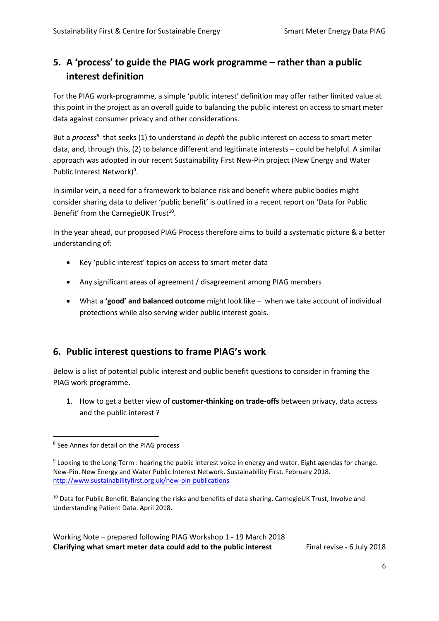# **5. A 'process' to guide the PIAG work programme – rather than a public interest definition**

For the PIAG work-programme, a simple 'public interest' definition may offer rather limited value at this point in the project as an overall guide to balancing the public interest on access to smart meter data against consumer privacy and other considerations.

But a *process<sup>8</sup>* that seeks (1) to understand *in depth* the public interest on access to smart meter data, and, through this, (2) to balance different and legitimate interests – could be helpful. A similar approach was adopted in our recent Sustainability First New-Pin project (New Energy and Water Public Interest Network)<sup>9</sup>.

In similar vein, a need for a framework to balance risk and benefit where public bodies might consider sharing data to deliver 'public benefit' is outlined in a recent report on 'Data for Public Benefit' from the CarnegieUK Trust<sup>10</sup>.

In the year ahead, our proposed PIAG Process therefore aims to build a systematic picture & a better understanding of:

- Key 'public interest' topics on access to smart meter data
- Any significant areas of agreement / disagreement among PIAG members
- What a **'good' and balanced outcome** might look like when we take account of individual protections while also serving wider public interest goals.

# **6. Public interest questions to frame PIAG's work**

Below is a list of potential public interest and public benefit questions to consider in framing the PIAG work programme.

1. How to get a better view of **customer-thinking on trade-offs** between privacy, data access and the public interest ?

<sup>1</sup> 8 See Annex for detail on the PIAG process

 $9$  Looking to the Long-Term : hearing the public interest voice in energy and water. Eight agendas for change. New-Pin. New Energy and Water Public Interest Network. Sustainability First. February 2018. <http://www.sustainabilityfirst.org.uk/new-pin-publications>

 $10$  Data for Public Benefit. Balancing the risks and benefits of data sharing. CarnegieUK Trust, Involve and Understanding Patient Data. April 2018.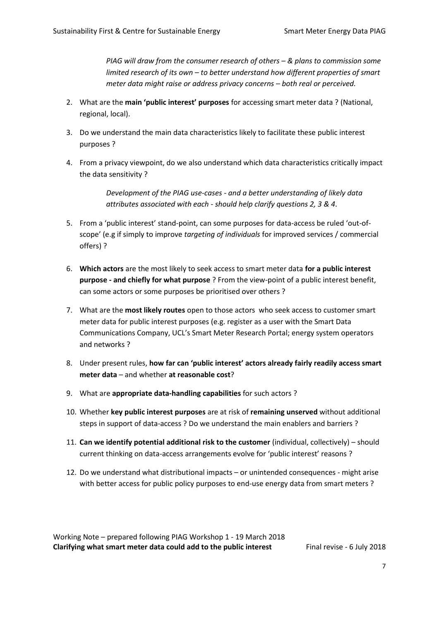*PIAG will draw from the consumer research of others – & plans to commission some limited research of its own – to better understand how different properties of smart meter data might raise or address privacy concerns – both real or perceived.* 

- 2. What are the **main 'public interest' purposes** for accessing smart meter data ? (National, regional, local).
- 3. Do we understand the main data characteristics likely to facilitate these public interest purposes ?
- 4. From a privacy viewpoint, do we also understand which data characteristics critically impact the data sensitivity ?

*Development of the PIAG use-cases - and a better understanding of likely data attributes associated with each - should help clarify questions 2, 3 & 4*.

- 5. From a 'public interest' stand-point, can some purposes for data-access be ruled 'out-ofscope' (e.g if simply to improve *targeting of individuals* for improved services / commercial offers) ?
- 6. **Which actors** are the most likely to seek access to smart meter data **for a public interest purpose - and chiefly for what purpose** ? From the view-point of a public interest benefit, can some actors or some purposes be prioritised over others ?
- 7. What are the **most likely routes** open to those actors who seek access to customer smart meter data for public interest purposes (e.g. register as a user with the Smart Data Communications Company, UCL's Smart Meter Research Portal; energy system operators and networks ?
- 8. Under present rules, **how far can 'public interest' actors already fairly readily access smart meter data** – and whether **at reasonable cost**?
- 9. What are **appropriate data-handling capabilities** for such actors ?
- 10. Whether **key public interest purposes** are at risk of **remaining unserved** without additional steps in support of data-access ? Do we understand the main enablers and barriers ?
- 11. **Can we identify potential additional risk to the customer** (individual, collectively) should current thinking on data-access arrangements evolve for 'public interest' reasons ?
- 12. Do we understand what distributional impacts or unintended consequences might arise with better access for public policy purposes to end-use energy data from smart meters ?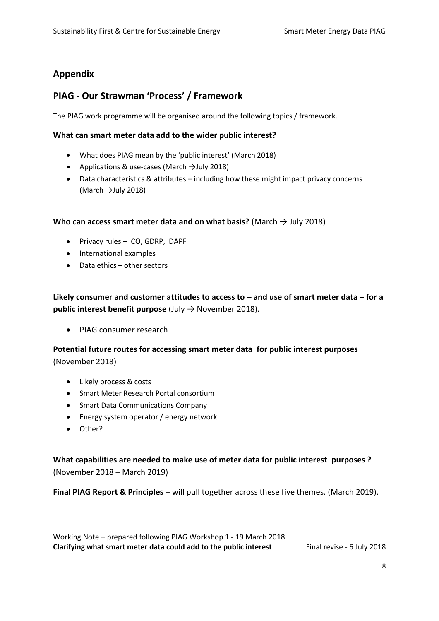# **Appendix**

## **PIAG - Our Strawman 'Process' / Framework**

The PIAG work programme will be organised around the following topics / framework.

#### **What can smart meter data add to the wider public interest?**

- What does PIAG mean by the 'public interest' (March 2018)
- Applications & use-cases (March →July 2018)
- Data characteristics & attributes including how these might impact privacy concerns (March  $\rightarrow$ July 2018)

**Who can access smart meter data and on what basis?** (March → July 2018)

- Privacy rules ICO, GDRP, DAPF
- International examples
- Data ethics other sectors

**Likely consumer and customer attitudes to access to – and use of smart meter data – for a public interest benefit purpose** (July → November 2018).

• PIAG consumer research

**Potential future routes for accessing smart meter data for public interest purposes** (November 2018)

- Likely process & costs
- Smart Meter Research Portal consortium
- Smart Data Communications Company
- Energy system operator / energy network
- Other?

**What capabilities are needed to make use of meter data for public interest purposes ?**  (November 2018 – March 2019)

**Final PIAG Report & Principles** – will pull together across these five themes. (March 2019).